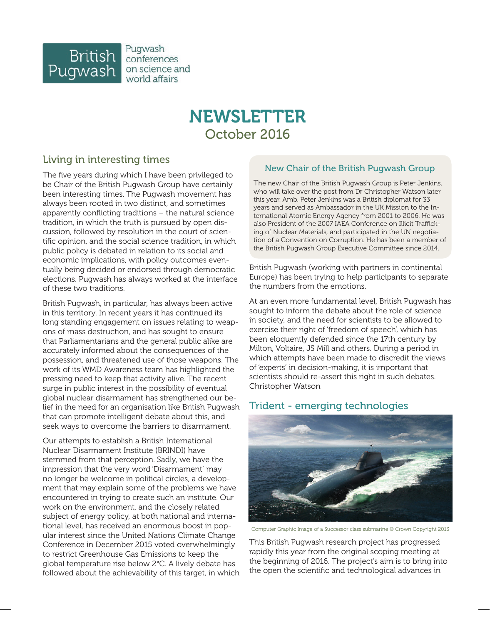

Pugwash conferences on science and world affairs

# NEWSLETTER October 2016

# Living in interesting times

The five years during which I have been privileged to be Chair of the British Pugwash Group have certainly been interesting times. The Pugwash movement has always been rooted in two distinct, and sometimes apparently conflicting traditions – the natural science tradition, in which the truth is pursued by open discussion, followed by resolution in the court of scientific opinion, and the social science tradition, in which public policy is debated in relation to its social and economic implications, with policy outcomes eventually being decided or endorsed through democratic elections. Pugwash has always worked at the interface of these two traditions.

British Pugwash, in particular, has always been active in this territory. In recent years it has continued its long standing engagement on issues relating to weapons of mass destruction, and has sought to ensure that Parliamentarians and the general public alike are accurately informed about the consequences of the possession, and threatened use of those weapons. The work of its WMD Awareness team has highlighted the pressing need to keep that activity alive. The recent surge in public interest in the possibility of eventual global nuclear disarmament has strengthened our belief in the need for an organisation like British Pugwash that can promote intelligent debate about this, and seek ways to overcome the barriers to disarmament.

Our attempts to establish a British International Nuclear Disarmament Institute (BRINDI) have stemmed from that perception. Sadly, we have the impression that the very word 'Disarmament' may no longer be welcome in political circles, a development that may explain some of the problems we have encountered in trying to create such an institute. Our work on the environment, and the closely related subject of energy policy, at both national and international level, has received an enormous boost in popular interest since the United Nations Climate Change Conference in December 2015 voted overwhelmingly to restrict Greenhouse Gas Emissions to keep the global temperature rise below 2°C. A lively debate has followed about the achievability of this target, in which

## New Chair of the British Pugwash Group

The new Chair of the British Pugwash Group is Peter Jenkins, who will take over the post from Dr Christopher Watson later this year. Amb. Peter Jenkins was a British diplomat for 33 years and served as Ambassador in the UK Mission to the International Atomic Energy Agency from 2001 to 2006. He was also President of the 2007 IAEA Conference on Illicit Trafficking of Nuclear Materials, and participated in the UN negotiation of a Convention on Corruption. He has been a member of the British Pugwash Group Executive Committee since 2014.

British Pugwash (working with partners in continental Europe) has been trying to help participants to separate the numbers from the emotions.

At an even more fundamental level, British Pugwash has sought to inform the debate about the role of science in society, and the need for scientists to be allowed to exercise their right of 'freedom of speech', which has been eloquently defended since the 17th century by Milton, Voltaire, JS Mill and others. During a period in which attempts have been made to discredit the views of 'experts' in decision-making, it is important that scientists should re-assert this right in such debates. Christopher Watson

## Trident - emerging technologies



Computer Graphic Image of a Successor class submarine © Crown Copyright 2013

This British Pugwash research project has progressed rapidly this year from the original scoping meeting at the beginning of 2016. The project's aim is to bring into the open the scientific and technological advances in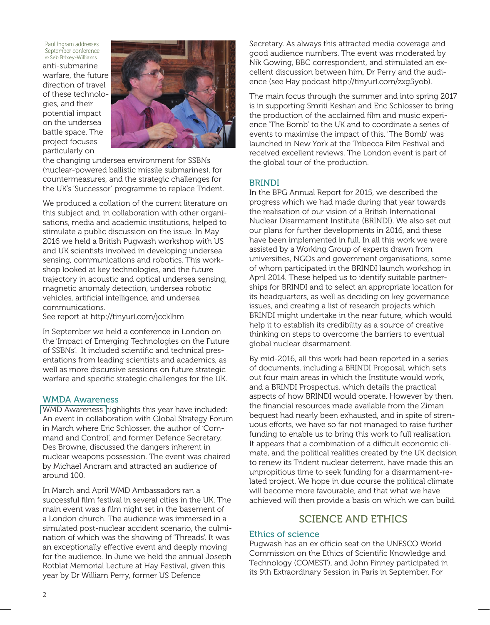anti-submarine warfare, the future direction of travel of these technologies, and their potential impact on the undersea battle space. The project focuses particularly on Paul Ingram addresses September conference © Seb Brixey-Williams



the changing undersea environment for SSBNs (nuclear-powered ballistic missile submarines), for countermeasures, and the strategic challenges for the UK's 'Successor' programme to replace Trident.

We produced a collation of the current literature on this subject and, in collaboration with other organisations, media and academic institutions, helped to stimulate a public discussion on the issue. In May 2016 we held a British Pugwash workshop with US and UK scientists involved in developing undersea sensing, communications and robotics. This workshop looked at key technologies, and the future trajectory in acoustic and optical undersea sensing, magnetic anomaly detection, undersea robotic vehicles, artificial intelligence, and undersea communications.

See report at http://tinyurl.com/jccklhm

In September we held a conference in London on the 'Impact of Emerging Technologies on the Future of SSBNs'. It included scientific and technical presentations from leading scientists and academics, as well as more discursive sessions on future strategic warfare and specific strategic challenges for the UK.

## WMDA Awareness

[WMD Awareness h](http://www.wmdawareness.org.uk/)ighlights this year have included: An event in collaboration with Global Strategy Forum in March where Eric Schlosser, the author of 'Command and Control', and former Defence Secretary, Des Browne, discussed the dangers inherent in nuclear weapons possession. The event was chaired by Michael Ancram and attracted an audience of around 100.

In March and April WMD Ambassadors ran a successful film festival in several cities in the UK. The main event was a film night set in the basement of a London church. The audience was immersed in a simulated post-nuclear accident scenario, the culmination of which was the showing of 'Threads'. It was an exceptionally effective event and deeply moving for the audience. In June we held the annual Joseph Rotblat Memorial Lecture at Hay Festival, given this year by Dr William Perry, former US Defence

Secretary. As always this attracted media coverage and good audience numbers. The event was moderated by Nik Gowing, BBC correspondent, and stimulated an excellent discussion between him, Dr Perry and the audience (see Hay podcast http://tinyurl.com/zxg5yob).

The main focus through the summer and into spring 2017 is in supporting Smriti Keshari and Eric Schlosser to bring the production of the acclaimed film and music experience 'The Bomb' to the UK and to coordinate a series of events to maximise the impact of this. 'The Bomb' was launched in New York at the Tribecca Film Festival and received excellent reviews. The London event is part of the global tour of the production.

## BRINDI

In the BPG Annual Report for 2015, we described the progress which we had made during that year towards the realisation of our vision of a British International Nuclear Disarmament Institute (BRINDI). We also set out our plans for further developments in 2016, and these have been implemented in full. In all this work we were assisted by a Working Group of experts drawn from universities, NGOs and government organisations, some of whom participated in the BRINDI launch workshop in April 2014. These helped us to identify suitable partnerships for BRINDI and to select an appropriate location for its headquarters, as well as deciding on key governance issues, and creating a list of research projects which BRINDI might undertake in the near future, which would help it to establish its credibility as a source of creative thinking on steps to overcome the barriers to eventual global nuclear disarmament.

By mid-2016, all this work had been reported in a series of documents, including a BRINDI Proposal, which sets out four main areas in which the Institute would work, and a BRINDI Prospectus, which details the practical aspects of how BRINDI would operate. However by then, the financial resources made available from the Ziman bequest had nearly been exhausted, and in spite of strenuous efforts, we have so far not managed to raise further funding to enable us to bring this work to full realisation. It appears that a combination of a difficult economic climate, and the political realities created by the UK decision to renew its Trident nuclear deterrent, have made this an unpropitious time to seek funding for a disarmament-related project. We hope in due course the political climate will become more favourable, and that what we have achieved will then provide a basis on which we can build.

# SCIENCE AND ETHICS

## Ethics of science

Pugwash has an ex officio seat on the UNESCO World Commission on the Ethics of Scientific Knowledge and Technology (COMEST), and John Finney participated in its 9th Extraordinary Session in Paris in September. For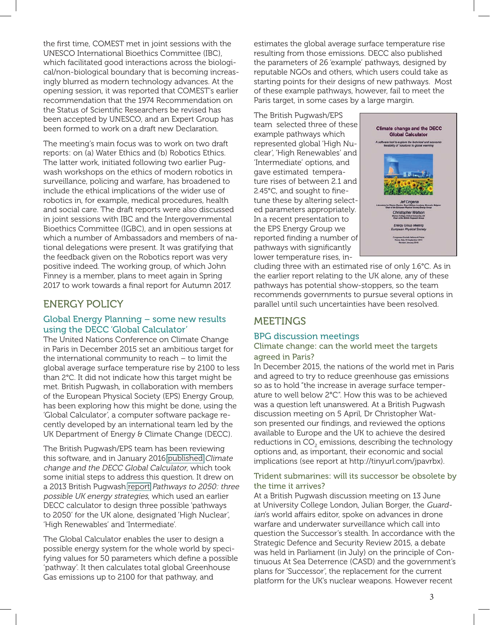the first time, COMEST met in joint sessions with the UNESCO International Bioethics Committee (IBC), which facilitated good interactions across the biological/non-biological boundary that is becoming increasingly blurred as modern technology advances. At the opening session, it was reported that COMEST's earlier recommendation that the 1974 Recommendation on the Status of Scientific Researchers be revised has been accepted by UNESCO, and an Expert Group has been formed to work on a draft new Declaration.

The meeting's main focus was to work on two draft reports: on (a) Water Ethics and (b) Robotics Ethics. The latter work, initiated following two earlier Pugwash workshops on the ethics of modern robotics in surveillance, policing and warfare, has broadened to include the ethical implications of the wider use of robotics in, for example, medical procedures, health and social care. The draft reports were also discussed in joint sessions with IBC and the Intergovernmental Bioethics Committee (IGBC), and in open sessions at which a number of Ambassadors and members of national delegations were present. It was gratifying that the feedback given on the Robotics report was very positive indeed. The working group, of which John Finney is a member, plans to meet again in Spring 2017 to work towards a final report for Autumn 2017.

## ENERGY POLICY

## Global Energy Planning – some new results using the DECC 'Global Calculator'

The United Nations Conference on Climate Change in Paris in December 2015 set an ambitious target for the international community to reach – to limit the global average surface temperature rise by 2100 to less than 2°C. It did not indicate how this target might be met. British Pugwash, in collaboration with members of the European Physical Society (EPS) Energy Group, has been exploring how this might be done, using the 'Global Calculator', a computer software package recently developed by an international team led by the UK Department of Energy & Climate Change (DECC).

The British Pugwash/EPS team has been reviewing this software, and in January 2016 [published](http://tinyurl.com/jcm2l69) Climate change and the DECC Global Calculator, which took some initial steps to address this question. It drew on a 2013 British Pugwash [report](http://tinyurl.com/hgprbqy) Pathways to 2050: three possible UK energy strategies, which used an earlier DECC calculator to design three possible 'pathways to 2050' for the UK alone, designated 'High Nuclear', 'High Renewables' and 'Intermediate'.

The Global Calculator enables the user to design a possible energy system for the whole world by specifying values for 50 parameters which define a possible 'pathway'. It then calculates total global Greenhouse Gas emissions up to 2100 for that pathway, and

estimates the global average surface temperature rise resulting from those emissions. DECC also published the parameters of 26 'example' pathways, designed by reputable NGOs and others, which users could take as starting points for their designs of new pathways. Most of these example pathways, however, fail to meet the Paris target, in some cases by a large margin.

The British Pugwash/EPS team selected three of these example pathways which represented global 'High Nuclear', 'High Renewables' and 'Intermediate' options, and gave estimated temperature rises of between 2.1 and 2.45°C, and sought to finetune these by altering selected parameters appropriately. In a recent presentation to the EPS Energy Group we reported finding a number of pathways with significantly lower temperature rises, in-



cluding three with an estimated rise of only 1.6°C. As in the earlier report relating to the UK alone, any of these pathways has potential show-stoppers, so the team recommends governments to pursue several options in parallel until such uncertainties have been resolved.

# MEETINGS

## BPG discussion meetings

## Climate change: can the world meet the targets agreed in Paris?

In December 2015, the nations of the world met in Paris and agreed to try to reduce greenhouse gas emissions so as to hold "the increase in average surface temperature to well below 2°C". How this was to be achieved was a question left unanswered. At a British Pugwash discussion meeting on 5 April, Dr Christopher Watson presented our findings, and reviewed the options available to Europe and the UK to achieve the desired reductions in CO $_{\tiny 2}$  emissions, describing the technology options and, as important, their economic and social implications (see report at http://tinyurl.com/jpavrbx).

## Trident submarines: will its successor be obsolete by the time it arrives?

 platform for the UK's nuclear weapons. However recent At a British Pugwash discussion meeting on 13 June at University College London, Julian Borger, the Guardian's world affairs editor, spoke on advances in drone warfare and underwater surveillance which call into question the Successor's stealth. In accordance with the Strategic Defence and Security Review 2015, a debate was held in Parliament (in July) on the principle of Continuous At Sea Deterrence (CASD) and the government's plans for 'Successor', the replacement for the current